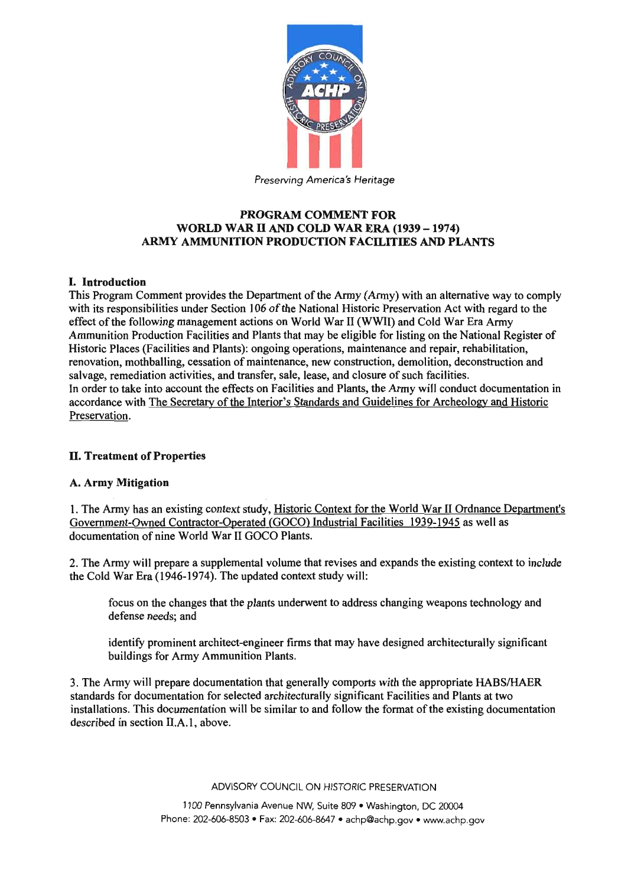

# PROGRAM COMMENT FOR WORLD WAR II AND COLD WAR ERA (1939 - 1974) ARMY AMMUNITION PRODUCTION FACILITIES AND PLANTS

### I. Introduction

This Program Comment provides the Department of the Army (Army) with an alternative way to comply with its responsibilities under Section 106 of the National Historic Preservation Act with regard to the effect of the following management actions on World War II (WWlI) and Cold War Era Army Ammunition Production Facilities and Plants that may be eligible for listing on the National Register of Historic Places (Facilities and Plants): ongoing operations, maintenance and repair, rehabilitation, renovation, mothballing, cessation of maintenance, new construction, demolition, deconstruction and salvage, remediation activities, and transfer, sale, lease, and closure of such facilities. In order to take into account the effects on Facilities and Plants, the Army will conduct documentation in accordance with The Secretary of the Interior's Standards and Guidelines for Archeology and Historic Preservation.

## ll. Treatment of Properties

### A. Army Mitigation

1. The Army has an existing context study, Historic Context for the World War II Ordnance Department's Government-Owned Contractor-Operated (GOCO) Industrial Facilities 1939-1945 as well as documentation of nine World War II GOCO Plants.

2. The Army will prepare a supplemental volume that revises and expands the existing context to include the Cold War Era (1946-1974). The updated context study will:

focus on the changes that the plants underwent to address changing weapons technology and defense needs; and

identify prominent architect-engineer firms that may have designed architecturally significant buildings for Army Ammunition Plants.

3. The Army will prepare documentation that generally comports with the appropriate HABS/HAER standards for documentation for selected architecturally significant Facilities and Plants at two installations. This documentation will be similar to and follow the format of the existing documentation described in section II.A.I, above.

ADVISORY COUNCIL ON HISTORIC PRESERVATION

1100 Pennsylvania Avenue NW, Suite 809 . Washington, DC 20004 Phone: 202-606-8503 . Fax: 202-606-8647 . achp@achp.gov . www.achp.gov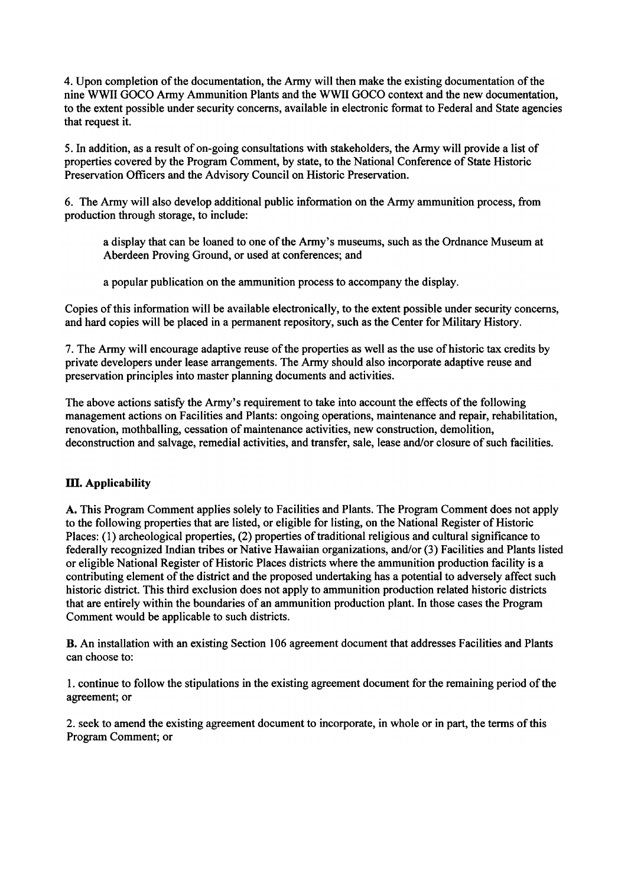4. Upon completion of the documentation, the Army will then make the existing documentation of the nine WWII GOCO Army Ammunition Plants and the WWII GOCO context and the new documentation, to the extent possible under security concerns, available in electronic format to Federal and State agencies that request it.

5. In addition, as a result of on-going consultations with stakeholders, the Army will provide a list of properties covered by the Program Comment, by state, to the National Conference of State Historic Preservation Officers and the Advisory Council on Historic Preservation.

6. The Army will also develop additional public infonnation on the Army ammunition process, from production through storage, to include:

a display that can be loaned to one of the Army's museums, such as the Ordnance Museum at Aberdeen Proving Ground, or used at conferences; and

a popular publication on the ammunition process to accompany the display.

Copies of this information will be available electronically, to the extent possible under security concerns, and hard copies will be placed in a permanent repository, such as the Center for Military History.

7. The Army will encourage adaptive reuse of the properties as well as the use of historic tax credits by private developers under lease arrangements. The Army should also incorporate adaptive reuse and preservation principles into master planning documents and activities.

The above actions satisfy the Army's requirement to take into account the effects of the following management actions on Facilities and Plants: ongoing operations, maintenance and repair, rehabilitation, renovation, mothballing, cessation of maintenance activities, new construction, demolition, deconstruction and salvage, remedial activities, and transfer, sale, lease and/or closure of such facilities.

## **III.** Applicability

A. This Program Comment applies solely to Facilities and Plants. The Program Comment does not apply to the following properties that are listed, or eligible for listing, on the National Register of Historic Places: (1) archeological properties, (2) properties of traditional religious and cultural significance to federally recognized Indian tribes or Native Hawaiian organizations, and/or (3) Facilities and Plants listed or eligible National Register of Historic Places districts where the ammunition production facility is a contributing element of the district and the proposed undertaking has a potential to adversely affect such historic district. This third exclusion does not apply to ammunition production related historic districts that are entirely within the boundaries of an ammunition production plant. In those cases the Program Comment would be applicable to such districts.

B. An installation with an existing Section 106 agreement document that addresses Facilities and Plants can choose to:

1. continue to follow the stipulations in the existing agreement document for the remaining period of the agreement; or

2. seek to amend the existing agreement document to incorporate, in whole or in part, the terms of this Program Comment; or